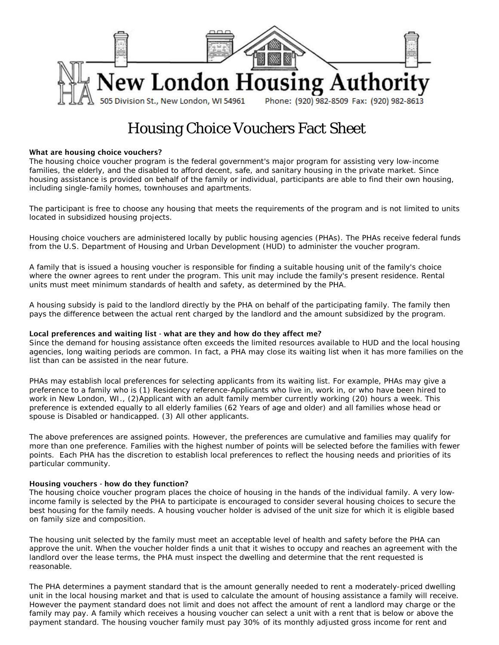

# Housing Choice Vouchers Fact Sheet

## What are housing choice vouchers?

The housing choice voucher program is the federal government's major program for assisting very low-income families, the elderly, and the disabled to afford decent, safe, and sanitary housing in the private market. Since housing assistance is provided on behalf of the family or individual, participants are able to find their own housing, including single-family homes, townhouses and apartments.

The participant is free to choose any housing that meets the requirements of the program and is not limited to units located in subsidized housing projects.

Housing choice vouchers are administered locally by public housing agencies (PHAs). The PHAs receive federal funds from the U.S. Department of Housing and Urban Development (HUD) to administer the voucher program.

A family that is issued a housing voucher is responsible for finding a suitable housing unit of the family's choice where the owner agrees to rent under the program. This unit may include the family's present residence. Rental units must meet minimum standards of health and safety, as determined by the PHA.

A housing subsidy is paid to the landlord directly by the PHA on behalf of the participating family. The family then pays the difference between the actual rent charged by the landlord and the amount subsidized by the program.

## Local preferences and waiting list - what are they and how do they affect me?

Since the demand for housing assistance often exceeds the limited resources available to HUD and the local housing agencies, long waiting periods are common. In fact, a PHA may close its waiting list when it has more families on the list than can be assisted in the near future.

PHAs may establish local preferences for selecting applicants from its waiting list. For example, PHAs may give a preference to a family who is (1) Residency reference-Applicants who live in, work in, or who have been hired to work in New London, WI., (2)Applicant with an adult family member currently working (20) hours a week. This preference is extended equally to all elderly families (62 Years of age and older) and all families whose head or spouse is Disabled or handicapped. (3) All other applicants.

The above preferences are assigned points. However, the preferences are cumulative and families may qualify for more than one preference. Families with the highest number of points will be selected before the families with fewer points. Each PHA has the discretion to establish local preferences to reflect the housing needs and priorities of its particular community.

#### Housing vouchers - how do they function?

The housing choice voucher program places the choice of housing in the hands of the individual family. A very lowincome family is selected by the PHA to participate is encouraged to consider several housing choices to secure the best housing for the family needs. A housing voucher holder is advised of the unit size for which it is eligible based on family size and composition.

The housing unit selected by the family must meet an acceptable level of health and safety before the PHA can approve the unit. When the voucher holder finds a unit that it wishes to occupy and reaches an agreement with the landlord over the lease terms, the PHA must inspect the dwelling and determine that the rent requested is reasonable.

The PHA determines a payment standard that is the amount generally needed to rent a moderately-priced dwelling unit in the local housing market and that is used to calculate the amount of housing assistance a family will receive. However the payment standard does not limit and does not affect the amount of rent a landlord may charge or the family may pay. A family which receives a housing voucher can select a unit with a rent that is below or above the payment standard. The housing voucher family must pay 30% of its monthly adjusted gross income for rent and